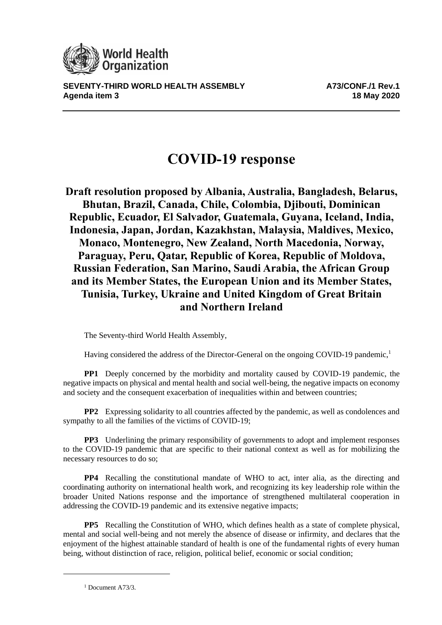

**SEVENTY-THIRD WORLD HEALTH ASSEMBLY A73/CONF./1 Rev.1 Agenda item 3 18 May 2020**

## **COVID-19 response**

**Draft resolution proposed by Albania, Australia, Bangladesh, Belarus, Bhutan, Brazil, Canada, Chile, Colombia, Djibouti, Dominican Republic, Ecuador, El Salvador, Guatemala, Guyana, Iceland, India, Indonesia, Japan, Jordan, Kazakhstan, Malaysia, Maldives, Mexico, Monaco, Montenegro, New Zealand, North Macedonia, Norway, Paraguay, Peru, Qatar, Republic of Korea, Republic of Moldova, Russian Federation, San Marino, Saudi Arabia, the African Group and its Member States, the European Union and its Member States, Tunisia, Turkey, Ukraine and United Kingdom of Great Britain and Northern Ireland**

The Seventy-third World Health Assembly,

Having considered the address of the Director-General on the ongoing COVID-19 pandemic,<sup>1</sup>

**PP1** Deeply concerned by the morbidity and mortality caused by COVID-19 pandemic, the negative impacts on physical and mental health and social well-being, the negative impacts on economy and society and the consequent exacerbation of inequalities within and between countries;

**PP2** Expressing solidarity to all countries affected by the pandemic, as well as condolences and sympathy to all the families of the victims of COVID-19;

**PP3** Underlining the primary responsibility of governments to adopt and implement responses to the COVID-19 pandemic that are specific to their national context as well as for mobilizing the necessary resources to do so;

**PP4** Recalling the constitutional mandate of WHO to act, inter alia, as the directing and coordinating authority on international health work, and recognizing its key leadership role within the broader United Nations response and the importance of strengthened multilateral cooperation in addressing the COVID-19 pandemic and its extensive negative impacts;

**PP5** Recalling the Constitution of WHO, which defines health as a state of complete physical, mental and social well-being and not merely the absence of disease or infirmity, and declares that the enjoyment of the highest attainable standard of health is one of the fundamental rights of every human being, without distinction of race, religion, political belief, economic or social condition;

<sup>1</sup> Document A73/3.

1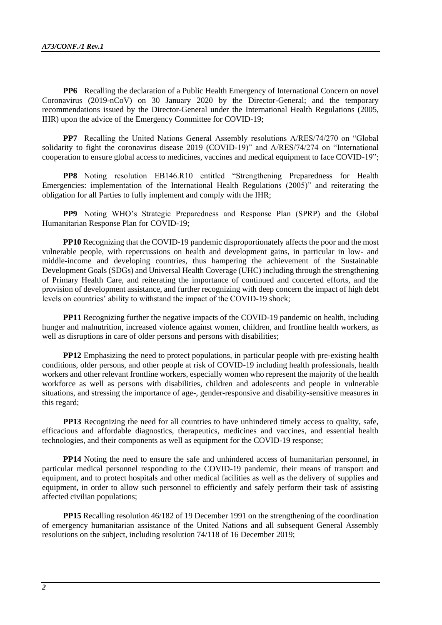**PP6** Recalling the declaration of a Public Health Emergency of International Concern on novel Coronavirus (2019-nCoV) on 30 January 2020 by the Director-General; and the temporary recommendations issued by the Director-General under the International Health Regulations (2005, IHR) upon the advice of the Emergency Committee for COVID-19;

**PP7** Recalling the United Nations General Assembly resolutions A/RES/74/270 on "Global" solidarity to fight the coronavirus disease 2019 (COVID-19)" and A/RES/74/274 on "International cooperation to ensure global access to medicines, vaccines and medical equipment to face COVID-19";

**PP8** Noting resolution EB146.R10 entitled "Strengthening Preparedness for Health Emergencies: implementation of the International Health Regulations (2005)" and reiterating the obligation for all Parties to fully implement and comply with the IHR;

**PP9** Noting WHO's Strategic Preparedness and Response Plan (SPRP) and the Global Humanitarian Response Plan for COVID-19;

**PP10** Recognizing that the COVID-19 pandemic disproportionately affects the poor and the most vulnerable people, with repercussions on health and development gains, in particular in low- and middle-income and developing countries, thus hampering the achievement of the Sustainable Development Goals (SDGs) and Universal Health Coverage (UHC) including through the strengthening of Primary Health Care, and reiterating the importance of continued and concerted efforts, and the provision of development assistance, and further recognizing with deep concern the impact of high debt levels on countries' ability to withstand the impact of the COVID-19 shock;

**PP11** Recognizing further the negative impacts of the COVID-19 pandemic on health, including hunger and malnutrition, increased violence against women, children, and frontline health workers, as well as disruptions in care of older persons and persons with disabilities;

**PP12** Emphasizing the need to protect populations, in particular people with pre-existing health conditions, older persons, and other people at risk of COVID-19 including health professionals, health workers and other relevant frontline workers, especially women who represent the majority of the health workforce as well as persons with disabilities, children and adolescents and people in vulnerable situations, and stressing the importance of age-, gender-responsive and disability-sensitive measures in this regard;

**PP13** Recognizing the need for all countries to have unhindered timely access to quality, safe, efficacious and affordable diagnostics, therapeutics, medicines and vaccines, and essential health technologies, and their components as well as equipment for the COVID-19 response;

**PP14** Noting the need to ensure the safe and unhindered access of humanitarian personnel, in particular medical personnel responding to the COVID-19 pandemic, their means of transport and equipment, and to protect hospitals and other medical facilities as well as the delivery of supplies and equipment, in order to allow such personnel to efficiently and safely perform their task of assisting affected civilian populations;

**PP15** Recalling resolution 46/182 of 19 December 1991 on the strengthening of the coordination of emergency humanitarian assistance of the United Nations and all subsequent General Assembly resolutions on the subject, including resolution 74/118 of 16 December 2019;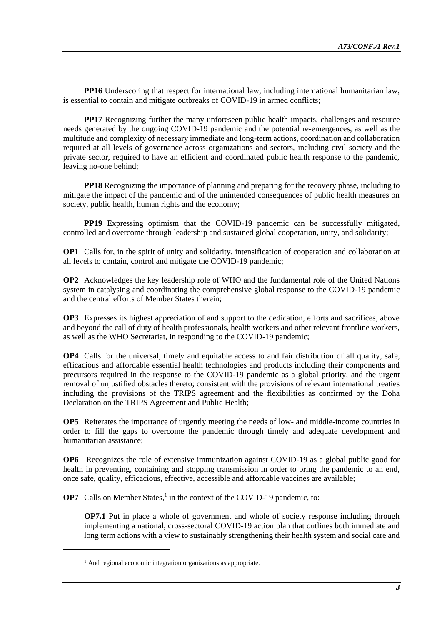**PP16** Underscoring that respect for international law, including international humanitarian law, is essential to contain and mitigate outbreaks of COVID-19 in armed conflicts;

**PP17** Recognizing further the many unforeseen public health impacts, challenges and resource needs generated by the ongoing COVID-19 pandemic and the potential re-emergences, as well as the multitude and complexity of necessary immediate and long-term actions, coordination and collaboration required at all levels of governance across organizations and sectors, including civil society and the private sector, required to have an efficient and coordinated public health response to the pandemic, leaving no-one behind;

**PP18** Recognizing the importance of planning and preparing for the recovery phase, including to mitigate the impact of the pandemic and of the unintended consequences of public health measures on society, public health, human rights and the economy;

**PP19** Expressing optimism that the COVID-19 pandemic can be successfully mitigated, controlled and overcome through leadership and sustained global cooperation, unity, and solidarity;

**OP1** Calls for, in the spirit of unity and solidarity, intensification of cooperation and collaboration at all levels to contain, control and mitigate the COVID-19 pandemic;

**OP2** Acknowledges the key leadership role of WHO and the fundamental role of the United Nations system in catalysing and coordinating the comprehensive global response to the COVID-19 pandemic and the central efforts of Member States therein;

**OP3** Expresses its highest appreciation of and support to the dedication, efforts and sacrifices, above and beyond the call of duty of health professionals, health workers and other relevant frontline workers, as well as the WHO Secretariat, in responding to the COVID-19 pandemic;

**OP4** Calls for the universal, timely and equitable access to and fair distribution of all quality, safe, efficacious and affordable essential health technologies and products including their components and precursors required in the response to the COVID-19 pandemic as a global priority, and the urgent removal of unjustified obstacles thereto; consistent with the provisions of relevant international treaties including the provisions of the TRIPS agreement and the flexibilities as confirmed by the Doha Declaration on the TRIPS Agreement and Public Health;

**OP5** Reiterates the importance of urgently meeting the needs of low- and middle-income countries in order to fill the gaps to overcome the pandemic through timely and adequate development and humanitarian assistance;

**OP6** Recognizes the role of extensive immunization against COVID-19 as a global public good for health in preventing, containing and stopping transmission in order to bring the pandemic to an end, once safe, quality, efficacious, effective, accessible and affordable vaccines are available;

**OP7** Calls on Member States,<sup>1</sup> in the context of the COVID-19 pandemic, to:

**OP7.1** Put in place a whole of government and whole of society response including through implementing a national, cross-sectoral COVID-19 action plan that outlines both immediate and long term actions with a view to sustainably strengthening their health system and social care and

1

<sup>&</sup>lt;sup>1</sup> And regional economic integration organizations as appropriate.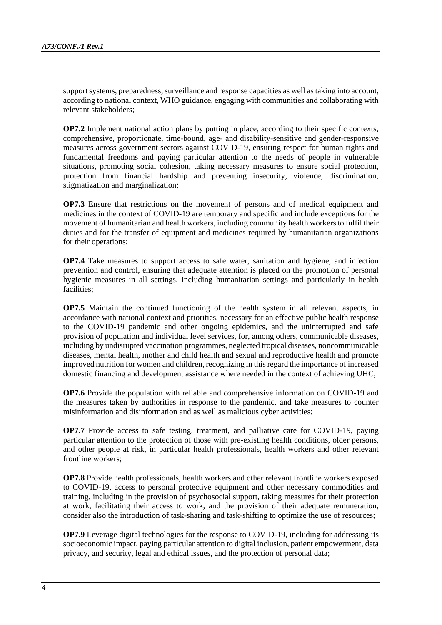support systems, preparedness, surveillance and response capacities as well as taking into account, according to national context, WHO guidance, engaging with communities and collaborating with relevant stakeholders;

**OP7.2** Implement national action plans by putting in place, according to their specific contexts, comprehensive, proportionate, time-bound, age- and disability-sensitive and gender-responsive measures across government sectors against COVID-19, ensuring respect for human rights and fundamental freedoms and paying particular attention to the needs of people in vulnerable situations, promoting social cohesion, taking necessary measures to ensure social protection, protection from financial hardship and preventing insecurity, violence, discrimination, stigmatization and marginalization;

**OP7.3** Ensure that restrictions on the movement of persons and of medical equipment and medicines in the context of COVID-19 are temporary and specific and include exceptions for the movement of humanitarian and health workers, including community health workers to fulfil their duties and for the transfer of equipment and medicines required by humanitarian organizations for their operations;

**OP7.4** Take measures to support access to safe water, sanitation and hygiene, and infection prevention and control, ensuring that adequate attention is placed on the promotion of personal hygienic measures in all settings, including humanitarian settings and particularly in health facilities;

**OP7.5** Maintain the continued functioning of the health system in all relevant aspects, in accordance with national context and priorities, necessary for an effective public health response to the COVID-19 pandemic and other ongoing epidemics, and the uninterrupted and safe provision of population and individual level services, for, among others, communicable diseases, including by undisrupted vaccination programmes, neglected tropical diseases, noncommunicable diseases, mental health, mother and child health and sexual and reproductive health and promote improved nutrition for women and children, recognizing in this regard the importance of increased domestic financing and development assistance where needed in the context of achieving UHC;

**OP7.6** Provide the population with reliable and comprehensive information on COVID-19 and the measures taken by authorities in response to the pandemic, and take measures to counter misinformation and disinformation and as well as malicious cyber activities;

**OP7.7** Provide access to safe testing, treatment, and palliative care for COVID-19, paying particular attention to the protection of those with pre-existing health conditions, older persons, and other people at risk, in particular health professionals, health workers and other relevant frontline workers;

**OP7.8** Provide health professionals, health workers and other relevant frontline workers exposed to COVID-19, access to personal protective equipment and other necessary commodities and training, including in the provision of psychosocial support, taking measures for their protection at work, facilitating their access to work, and the provision of their adequate remuneration, consider also the introduction of task-sharing and task-shifting to optimize the use of resources;

**OP7.9** Leverage digital technologies for the response to COVID-19, including for addressing its socioeconomic impact, paying particular attention to digital inclusion, patient empowerment, data privacy, and security, legal and ethical issues, and the protection of personal data;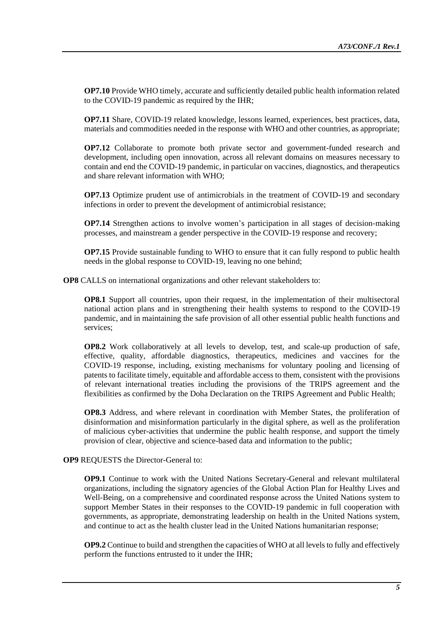**OP7.10** Provide WHO timely, accurate and sufficiently detailed public health information related to the COVID-19 pandemic as required by the IHR;

**OP7.11** Share, COVID-19 related knowledge, lessons learned, experiences, best practices, data, materials and commodities needed in the response with WHO and other countries, as appropriate;

**OP7.12** Collaborate to promote both private sector and government-funded research and development, including open innovation, across all relevant domains on measures necessary to contain and end the COVID-19 pandemic, in particular on vaccines, diagnostics, and therapeutics and share relevant information with WHO;

**OP7.13** Optimize prudent use of antimicrobials in the treatment of COVID-19 and secondary infections in order to prevent the development of antimicrobial resistance;

**OP7.14** Strengthen actions to involve women's participation in all stages of decision-making processes, and mainstream a gender perspective in the COVID-19 response and recovery;

**OP7.15** Provide sustainable funding to WHO to ensure that it can fully respond to public health needs in the global response to COVID-19, leaving no one behind;

**OP8** CALLS on international organizations and other relevant stakeholders to:

**OP8.1** Support all countries, upon their request, in the implementation of their multisectoral national action plans and in strengthening their health systems to respond to the COVID-19 pandemic, and in maintaining the safe provision of all other essential public health functions and services;

**OP8.2** Work collaboratively at all levels to develop, test, and scale-up production of safe, effective, quality, affordable diagnostics, therapeutics, medicines and vaccines for the COVID-19 response, including, existing mechanisms for voluntary pooling and licensing of patents to facilitate timely, equitable and affordable access to them, consistent with the provisions of relevant international treaties including the provisions of the TRIPS agreement and the flexibilities as confirmed by the Doha Declaration on the TRIPS Agreement and Public Health;

**OP8.3** Address, and where relevant in coordination with Member States, the proliferation of disinformation and misinformation particularly in the digital sphere, as well as the proliferation of malicious cyber-activities that undermine the public health response, and support the timely provision of clear, objective and science-based data and information to the public;

## **OP9** REQUESTS the Director-General to:

**OP9.1** Continue to work with the United Nations Secretary-General and relevant multilateral organizations, including the signatory agencies of the Global Action Plan for Healthy Lives and Well-Being, on a comprehensive and coordinated response across the United Nations system to support Member States in their responses to the COVID-19 pandemic in full cooperation with governments, as appropriate, demonstrating leadership on health in the United Nations system, and continue to act as the health cluster lead in the United Nations humanitarian response;

**OP9.2** Continue to build and strengthen the capacities of WHO at all levels to fully and effectively perform the functions entrusted to it under the IHR;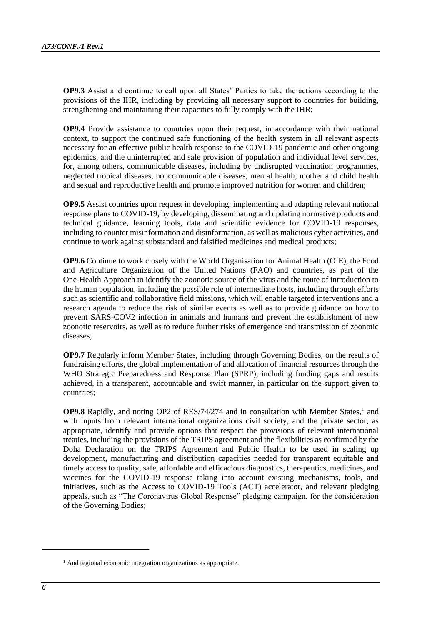**OP9.3** Assist and continue to call upon all States' Parties to take the actions according to the provisions of the IHR, including by providing all necessary support to countries for building, strengthening and maintaining their capacities to fully comply with the IHR;

**OP9.4** Provide assistance to countries upon their request, in accordance with their national context, to support the continued safe functioning of the health system in all relevant aspects necessary for an effective public health response to the COVID-19 pandemic and other ongoing epidemics, and the uninterrupted and safe provision of population and individual level services, for, among others, communicable diseases, including by undisrupted vaccination programmes, neglected tropical diseases, noncommunicable diseases, mental health, mother and child health and sexual and reproductive health and promote improved nutrition for women and children;

**OP9.5** Assist countries upon request in developing, implementing and adapting relevant national response plans to COVID-19, by developing, disseminating and updating normative products and technical guidance, learning tools, data and scientific evidence for COVID-19 responses, including to counter misinformation and disinformation, as well as malicious cyber activities, and continue to work against substandard and falsified medicines and medical products;

**OP9.6** Continue to work closely with the World Organisation for Animal Health (OIE), the Food and Agriculture Organization of the United Nations (FAO) and countries, as part of the One-Health Approach to identify the zoonotic source of the virus and the route of introduction to the human population, including the possible role of intermediate hosts, including through efforts such as scientific and collaborative field missions, which will enable targeted interventions and a research agenda to reduce the risk of similar events as well as to provide guidance on how to prevent SARS-COV2 infection in animals and humans and prevent the establishment of new zoonotic reservoirs, as well as to reduce further risks of emergence and transmission of zoonotic diseases;

**OP9.7** Regularly inform Member States, including through Governing Bodies, on the results of fundraising efforts, the global implementation of and allocation of financial resources through the WHO Strategic Preparedness and Response Plan (SPRP), including funding gaps and results achieved, in a transparent, accountable and swift manner, in particular on the support given to countries;

OP9.8 Rapidly, and noting OP2 of RES/74/274 and in consultation with Member States,<sup>1</sup> and with inputs from relevant international organizations civil society, and the private sector, as appropriate, identify and provide options that respect the provisions of relevant international treaties, including the provisions of the TRIPS agreement and the flexibilities as confirmed by the Doha Declaration on the TRIPS Agreement and Public Health to be used in scaling up development, manufacturing and distribution capacities needed for transparent equitable and timely access to quality, safe, affordable and efficacious diagnostics, therapeutics, medicines, and vaccines for the COVID-19 response taking into account existing mechanisms, tools, and initiatives, such as the Access to COVID-19 Tools (ACT) accelerator, and relevant pledging appeals, such as "The Coronavirus Global Response" pledging campaign, for the consideration of the Governing Bodies;

l

<sup>&</sup>lt;sup>1</sup> And regional economic integration organizations as appropriate.